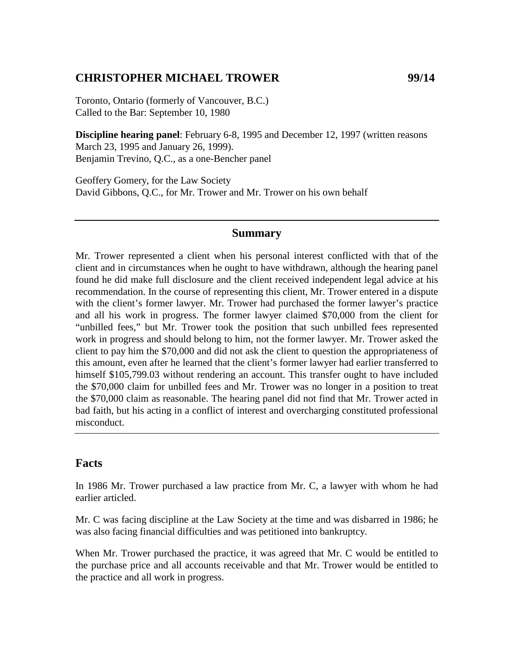### **CHRISTOPHER MICHAEL TROWER 99/14**

Toronto, Ontario (formerly of Vancouver, B.C.) Called to the Bar: September 10, 1980

**Discipline hearing panel**: February 6-8, 1995 and December 12, 1997 (written reasons March 23, 1995 and January 26, 1999). Benjamin Trevino, Q.C., as a one-Bencher panel

Geoffery Gomery, for the Law Society David Gibbons, Q.C., for Mr. Trower and Mr. Trower on his own behalf

#### **Summary**

Mr. Trower represented a client when his personal interest conflicted with that of the client and in circumstances when he ought to have withdrawn, although the hearing panel found he did make full disclosure and the client received independent legal advice at his recommendation. In the course of representing this client, Mr. Trower entered in a dispute with the client's former lawyer. Mr. Trower had purchased the former lawyer's practice and all his work in progress. The former lawyer claimed \$70,000 from the client for "unbilled fees," but Mr. Trower took the position that such unbilled fees represented work in progress and should belong to him, not the former lawyer. Mr. Trower asked the client to pay him the \$70,000 and did not ask the client to question the appropriateness of this amount, even after he learned that the client's former lawyer had earlier transferred to himself \$105,799.03 without rendering an account. This transfer ought to have included the \$70,000 claim for unbilled fees and Mr. Trower was no longer in a position to treat the \$70,000 claim as reasonable. The hearing panel did not find that Mr. Trower acted in bad faith, but his acting in a conflict of interest and overcharging constituted professional misconduct.

#### **Facts**

In 1986 Mr. Trower purchased a law practice from Mr. C, a lawyer with whom he had earlier articled.

Mr. C was facing discipline at the Law Society at the time and was disbarred in 1986; he was also facing financial difficulties and was petitioned into bankruptcy.

When Mr. Trower purchased the practice, it was agreed that Mr. C would be entitled to the purchase price and all accounts receivable and that Mr. Trower would be entitled to the practice and all work in progress.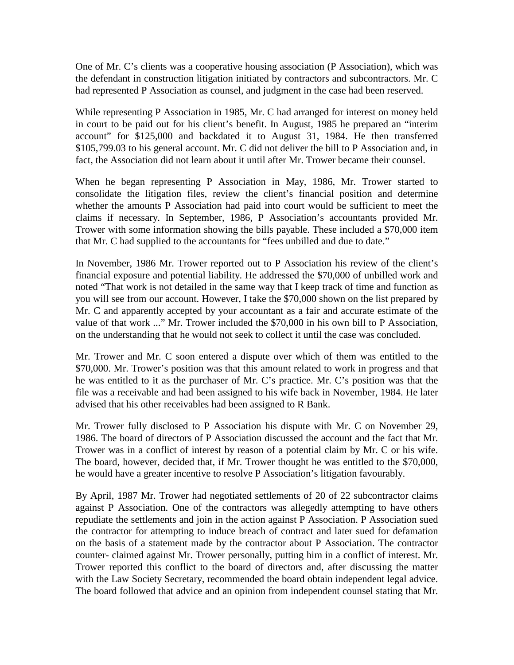One of Mr. C's clients was a cooperative housing association (P Association), which was the defendant in construction litigation initiated by contractors and subcontractors. Mr. C had represented P Association as counsel, and judgment in the case had been reserved.

While representing P Association in 1985, Mr. C had arranged for interest on money held in court to be paid out for his client's benefit. In August, 1985 he prepared an "interim account" for \$125,000 and backdated it to August 31, 1984. He then transferred \$105,799.03 to his general account. Mr. C did not deliver the bill to P Association and, in fact, the Association did not learn about it until after Mr. Trower became their counsel.

When he began representing P Association in May, 1986, Mr. Trower started to consolidate the litigation files, review the client's financial position and determine whether the amounts P Association had paid into court would be sufficient to meet the claims if necessary. In September, 1986, P Association's accountants provided Mr. Trower with some information showing the bills payable. These included a \$70,000 item that Mr. C had supplied to the accountants for "fees unbilled and due to date."

In November, 1986 Mr. Trower reported out to P Association his review of the client's financial exposure and potential liability. He addressed the \$70,000 of unbilled work and noted "That work is not detailed in the same way that I keep track of time and function as you will see from our account. However, I take the \$70,000 shown on the list prepared by Mr. C and apparently accepted by your accountant as a fair and accurate estimate of the value of that work ..." Mr. Trower included the \$70,000 in his own bill to P Association, on the understanding that he would not seek to collect it until the case was concluded.

Mr. Trower and Mr. C soon entered a dispute over which of them was entitled to the \$70,000. Mr. Trower's position was that this amount related to work in progress and that he was entitled to it as the purchaser of Mr. C's practice. Mr. C's position was that the file was a receivable and had been assigned to his wife back in November, 1984. He later advised that his other receivables had been assigned to R Bank.

Mr. Trower fully disclosed to P Association his dispute with Mr. C on November 29, 1986. The board of directors of P Association discussed the account and the fact that Mr. Trower was in a conflict of interest by reason of a potential claim by Mr. C or his wife. The board, however, decided that, if Mr. Trower thought he was entitled to the \$70,000, he would have a greater incentive to resolve P Association's litigation favourably.

By April, 1987 Mr. Trower had negotiated settlements of 20 of 22 subcontractor claims against P Association. One of the contractors was allegedly attempting to have others repudiate the settlements and join in the action against P Association. P Association sued the contractor for attempting to induce breach of contract and later sued for defamation on the basis of a statement made by the contractor about P Association. The contractor counter- claimed against Mr. Trower personally, putting him in a conflict of interest. Mr. Trower reported this conflict to the board of directors and, after discussing the matter with the Law Society Secretary, recommended the board obtain independent legal advice. The board followed that advice and an opinion from independent counsel stating that Mr.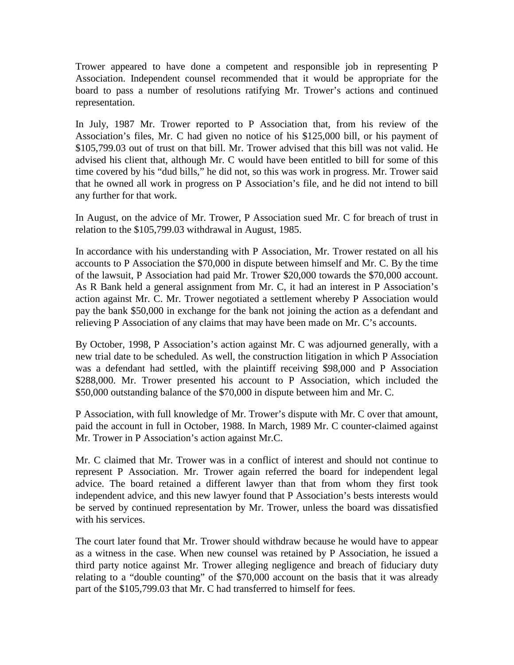Trower appeared to have done a competent and responsible job in representing P Association. Independent counsel recommended that it would be appropriate for the board to pass a number of resolutions ratifying Mr. Trower's actions and continued representation.

In July, 1987 Mr. Trower reported to P Association that, from his review of the Association's files, Mr. C had given no notice of his \$125,000 bill, or his payment of \$105,799.03 out of trust on that bill. Mr. Trower advised that this bill was not valid. He advised his client that, although Mr. C would have been entitled to bill for some of this time covered by his "dud bills," he did not, so this was work in progress. Mr. Trower said that he owned all work in progress on P Association's file, and he did not intend to bill any further for that work.

In August, on the advice of Mr. Trower, P Association sued Mr. C for breach of trust in relation to the \$105,799.03 withdrawal in August, 1985.

In accordance with his understanding with P Association, Mr. Trower restated on all his accounts to P Association the \$70,000 in dispute between himself and Mr. C. By the time of the lawsuit, P Association had paid Mr. Trower \$20,000 towards the \$70,000 account. As R Bank held a general assignment from Mr. C, it had an interest in P Association's action against Mr. C. Mr. Trower negotiated a settlement whereby P Association would pay the bank \$50,000 in exchange for the bank not joining the action as a defendant and relieving P Association of any claims that may have been made on Mr. C's accounts.

By October, 1998, P Association's action against Mr. C was adjourned generally, with a new trial date to be scheduled. As well, the construction litigation in which P Association was a defendant had settled, with the plaintiff receiving \$98,000 and P Association \$288,000. Mr. Trower presented his account to P Association, which included the \$50,000 outstanding balance of the \$70,000 in dispute between him and Mr. C.

P Association, with full knowledge of Mr. Trower's dispute with Mr. C over that amount, paid the account in full in October, 1988. In March, 1989 Mr. C counter-claimed against Mr. Trower in P Association's action against Mr.C.

Mr. C claimed that Mr. Trower was in a conflict of interest and should not continue to represent P Association. Mr. Trower again referred the board for independent legal advice. The board retained a different lawyer than that from whom they first took independent advice, and this new lawyer found that P Association's bests interests would be served by continued representation by Mr. Trower, unless the board was dissatisfied with his services.

The court later found that Mr. Trower should withdraw because he would have to appear as a witness in the case. When new counsel was retained by P Association, he issued a third party notice against Mr. Trower alleging negligence and breach of fiduciary duty relating to a "double counting" of the \$70,000 account on the basis that it was already part of the \$105,799.03 that Mr. C had transferred to himself for fees.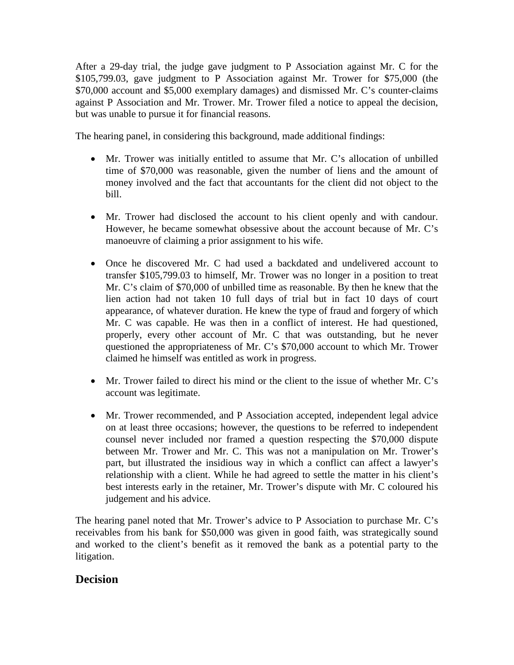After a 29-day trial, the judge gave judgment to P Association against Mr. C for the \$105,799.03, gave judgment to P Association against Mr. Trower for \$75,000 (the \$70,000 account and \$5,000 exemplary damages) and dismissed Mr. C's counter-claims against P Association and Mr. Trower. Mr. Trower filed a notice to appeal the decision, but was unable to pursue it for financial reasons.

The hearing panel, in considering this background, made additional findings:

- Mr. Trower was initially entitled to assume that Mr. C's allocation of unbilled time of \$70,000 was reasonable, given the number of liens and the amount of money involved and the fact that accountants for the client did not object to the bill.
- Mr. Trower had disclosed the account to his client openly and with candour. However, he became somewhat obsessive about the account because of Mr. C's manoeuvre of claiming a prior assignment to his wife.
- Once he discovered Mr. C had used a backdated and undelivered account to transfer \$105,799.03 to himself, Mr. Trower was no longer in a position to treat Mr. C's claim of \$70,000 of unbilled time as reasonable. By then he knew that the lien action had not taken 10 full days of trial but in fact 10 days of court appearance, of whatever duration. He knew the type of fraud and forgery of which Mr. C was capable. He was then in a conflict of interest. He had questioned, properly, every other account of Mr. C that was outstanding, but he never questioned the appropriateness of Mr. C's \$70,000 account to which Mr. Trower claimed he himself was entitled as work in progress.
- Mr. Trower failed to direct his mind or the client to the issue of whether Mr. C's account was legitimate.
- Mr. Trower recommended, and P Association accepted, independent legal advice on at least three occasions; however, the questions to be referred to independent counsel never included nor framed a question respecting the \$70,000 dispute between Mr. Trower and Mr. C. This was not a manipulation on Mr. Trower's part, but illustrated the insidious way in which a conflict can affect a lawyer's relationship with a client. While he had agreed to settle the matter in his client's best interests early in the retainer, Mr. Trower's dispute with Mr. C coloured his judgement and his advice.

The hearing panel noted that Mr. Trower's advice to P Association to purchase Mr. C's receivables from his bank for \$50,000 was given in good faith, was strategically sound and worked to the client's benefit as it removed the bank as a potential party to the litigation.

## **Decision**